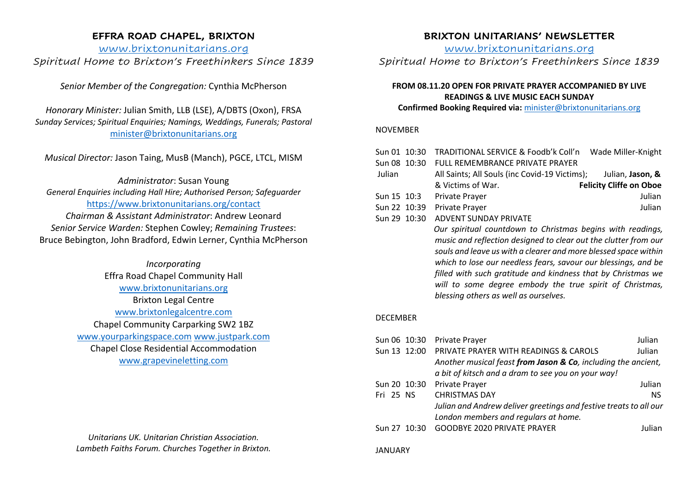## **EFFRA ROAD CHAPEL, BRIXTON**

www.brixtonunitarians.org *Spiritual Home to Brixton's Freethinkers Since 1839*

*Senior Member of the Congregation:* Cynthia McPherson

*Honorary Minister:* Julian Smith, LLB (LSE), A/DBTS (Oxon), FRSA *Sunday Services; Spiritual Enquiries; Namings, Weddings, Funerals; Pastoral* minister@brixtonunitarians.org

*Musical Director:* Jason Taing, MusB (Manch), PGCE, LTCL, MISM

*Administrator*: Susan Young *General Enquiries including Hall Hire; Authorised Person; Safeguarder* https://www.brixtonunitarians.org/contact

*Chairman & Assistant Administrator*: Andrew Leonard *Senior Service Warden:* Stephen Cowley; *Remaining Trustees*: Bruce Bebington, John Bradford, Edwin Lerner, Cynthia McPherson

> *Incorporating* Effra Road Chapel Community Hall www.brixtonunitarians.org Brixton Legal Centre www.brixtonlegalcentre.com Chapel Community Carparking SW2 1BZ www.yourparkingspace.com www.justpark.com Chapel Close Residential Accommodation www.grapevineletting.com

> *Unitarians UK. Unitarian Christian Association. Lambeth Faiths Forum. Churches Together in Brixton.*

# **BRIXTON UNITARIANS' NEWSLETTER**

www.brixtonunitarians.org

*Spiritual Home to Brixton's Freethinkers Since 1839*

## **FROM 08.11.20 OPEN FOR PRIVATE PRAYER ACCOMPANIED BY LIVE READINGS & LIVE MUSIC EACH SUNDAY**

**Confirmed Booking Required via:** minister@brixtonunitarians.org

### NOVEMBER

| Sun 01 10:30 |  | TRADITIONAL SERVICE & Foodb'k Coll'n                                                                                                                                                              | Wade Miller-Knight             |  |  |
|--------------|--|---------------------------------------------------------------------------------------------------------------------------------------------------------------------------------------------------|--------------------------------|--|--|
| Sun 08 10:30 |  | <b>FULL REMEMBRANCE PRIVATE PRAYER</b>                                                                                                                                                            |                                |  |  |
| Julian       |  | All Saints; All Souls (inc Covid-19 Victims);                                                                                                                                                     | Julian, Jason, &               |  |  |
|              |  | & Victims of War.                                                                                                                                                                                 | <b>Felicity Cliffe on Oboe</b> |  |  |
| Sun 15 10:3  |  | <b>Private Prayer</b>                                                                                                                                                                             | Julian                         |  |  |
| Sun 22 10:39 |  | Private Prayer                                                                                                                                                                                    | Julian                         |  |  |
| Sun 29 10:30 |  | ADVENT SUNDAY PRIVATE                                                                                                                                                                             |                                |  |  |
|              |  | Our spiritual countdown to Christmas begins with readings,                                                                                                                                        |                                |  |  |
|              |  | music and reflection designed to clear out the clutter from our                                                                                                                                   |                                |  |  |
|              |  | souls and leave us with a clearer and more blessed space within<br>which to lose our needless fears, savour our blessings, and be<br>filled with such gratitude and kindness that by Christmas we |                                |  |  |
|              |  |                                                                                                                                                                                                   |                                |  |  |
|              |  |                                                                                                                                                                                                   |                                |  |  |
|              |  | will to some degree embody the true spirit of Christmas,                                                                                                                                          |                                |  |  |

### DECEMBER

|              | Sun 06 10:30 Private Prayer                                       | Julian        |
|--------------|-------------------------------------------------------------------|---------------|
|              | Sun 13 12:00 PRIVATE PRAYER WITH READINGS & CAROLS                | Julian        |
|              | Another musical feast from Jason & Co, including the ancient,     |               |
|              | a bit of kitsch and a dram to see you on your way!                |               |
| Sun 20 10:30 | Private Prayer                                                    | Julian        |
| Fri 25 NS    | <b>CHRISTMAS DAY</b>                                              | <b>NS</b>     |
|              | Julian and Andrew deliver greetings and festive treats to all our |               |
|              | London members and regulars at home.                              |               |
|              | Sun 27 10:30 GOODBYE 2020 PRIVATE PRAYER                          | <b>Julian</b> |
|              |                                                                   |               |

*blessing others as well as ourselves.* 

#### JANUARY